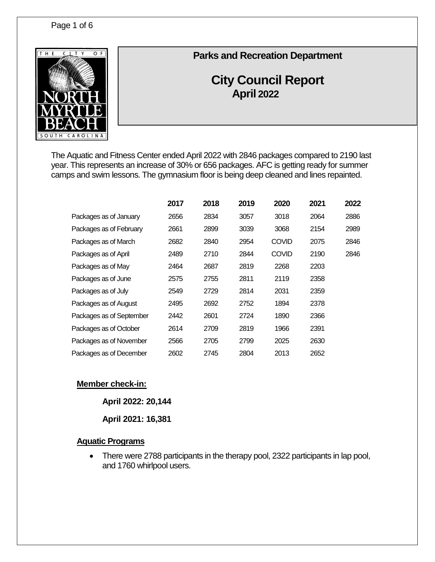

# **Parks and Recreation Department**

# **City Council Report April 2022**

The Aquatic and Fitness Center ended April 2022 with 2846 packages compared to 2190 last year. This represents an increase of 30% or 656 packages. AFC is getting ready for summer camps and swim lessons. The gymnasium floor is being deep cleaned and lines repainted.

|                          | 2017 | 2018 | 2019 | 2020         | 2021 | 2022 |
|--------------------------|------|------|------|--------------|------|------|
| Packages as of January   | 2656 | 2834 | 3057 | 3018         | 2064 | 2886 |
| Packages as of February  | 2661 | 2899 | 3039 | 3068         | 2154 | 2989 |
| Packages as of March     | 2682 | 2840 | 2954 | <b>COVID</b> | 2075 | 2846 |
| Packages as of April     | 2489 | 2710 | 2844 | <b>COVID</b> | 2190 | 2846 |
| Packages as of May       | 2464 | 2687 | 2819 | 2268         | 2203 |      |
| Packages as of June      | 2575 | 2755 | 2811 | 2119         | 2358 |      |
| Packages as of July      | 2549 | 2729 | 2814 | 2031         | 2359 |      |
| Packages as of August    | 2495 | 2692 | 2752 | 1894         | 2378 |      |
| Packages as of September | 2442 | 2601 | 2724 | 1890         | 2366 |      |
| Packages as of October   | 2614 | 2709 | 2819 | 1966         | 2391 |      |
| Packages as of November  | 2566 | 2705 | 2799 | 2025         | 2630 |      |
| Packages as of December  | 2602 | 2745 | 2804 | 2013         | 2652 |      |

# **Member check-in:**

**April 2022: 20,144**

**April 2021: 16,381**

#### **Aquatic Programs**

• There were 2788 participants in the therapy pool, 2322 participants in lap pool, and 1760 whirlpool users.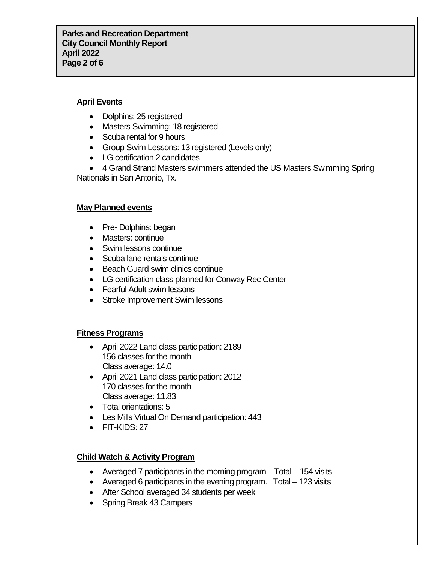#### **April Events**

- Dolphins: 25 registered
- Masters Swimming: 18 registered
- Scuba rental for 9 hours
- Group Swim Lessons: 13 registered (Levels only)
- LG certification 2 candidates
- 4 Grand Strand Masters swimmers attended the US Masters Swimming Spring Nationals in San Antonio, Tx.

#### **May Planned events**

- Pre- Dolphins: began
- Masters: continue
- Swim lessons continue
- Scuba lane rentals continue
- Beach Guard swim clinics continue
- LG certification class planned for Conway Rec Center
- Fearful Adult swim lessons
- Stroke Improvement Swim lessons

# **Fitness Programs**

- April 2022 Land class participation: 2189 156 classes for the month Class average: 14.0
- April 2021 Land class participation: 2012 170 classes for the month Class average: 11.83
- Total orientations: 5
- Les Mills Virtual On Demand participation: 443
- FIT-KIDS: 27

# **Child Watch & Activity Program**

- Averaged 7 participants in the morning program Total 154 visits
- Averaged 6 participants in the evening program. Total 123 visits
- After School averaged 34 students per week
- Spring Break 43 Campers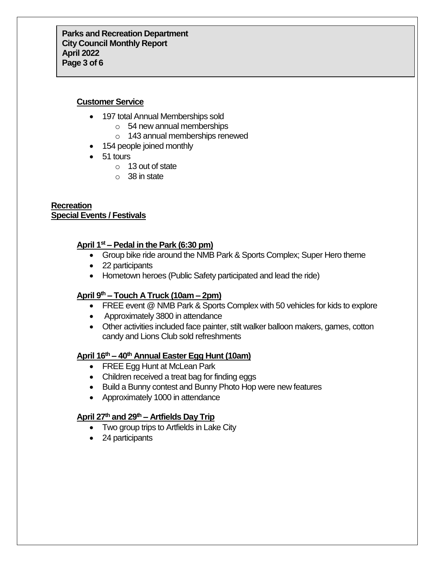### **Customer Service**

- 197 total Annual Memberships sold
	- o 54 new annual memberships
	- o 143 annual memberships renewed
- 154 people joined monthly
- 51 tours
	- o 13 out of state
	- $\circ$  38 in state

#### **Recreation Special Events / Festivals**

# **April 1st – Pedal in the Park (6:30 pm)**

- Group bike ride around the NMB Park & Sports Complex; Super Hero theme
- 22 participants
- Hometown heroes (Public Safety participated and lead the ride)

# **April 9th – Touch A Truck (10am – 2pm)**

- FREE event @ NMB Park & Sports Complex with 50 vehicles for kids to explore
- Approximately 3800 in attendance
- Other activities included face painter, stilt walker balloon makers, games, cotton candy and Lions Club sold refreshments

# **April 16th – 40th Annual Easter Egg Hunt (10am)**

- FREE Egg Hunt at McLean Park
- Children received a treat bag for finding eggs
- Build a Bunny contest and Bunny Photo Hop were new features
- Approximately 1000 in attendance

# **April 27th and 29th – Artfields Day Trip**

- Two group trips to Artfields in Lake City
- 24 participants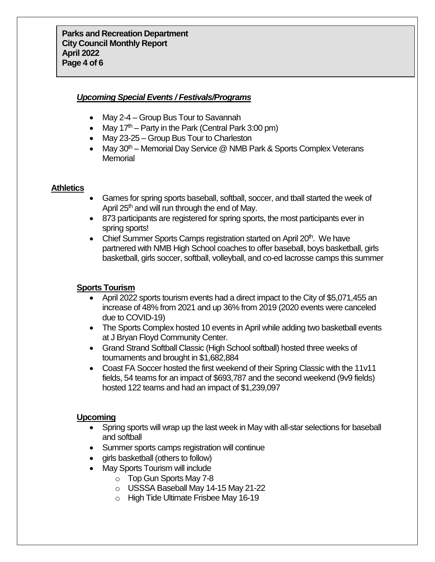#### *Upcoming Special Events / Festivals/Programs*

- May 2-4 Group Bus Tour to Savannah
- May  $17<sup>th</sup>$  Party in the Park (Central Park 3:00 pm)
- May 23-25 Group Bus Tour to Charleston
- May  $30<sup>th</sup>$  Memorial Day Service  $@$  NMB Park & Sports Complex Veterans **Memorial**

#### **Athletics**

- Games for spring sports baseball, softball, soccer, and tball started the week of April 25<sup>th</sup> and will run through the end of May.
- 873 participants are registered for spring sports, the most participants ever in spring sports!
- Chief Summer Sports Camps registration started on April 20<sup>th</sup>. We have partnered with NMB High School coaches to offer baseball, boys basketball, girls basketball, girls soccer, softball, volleyball, and co-ed lacrosse camps this summer

# **Sports Tourism**

- April 2022 sports tourism events had a direct impact to the City of \$5,071,455 an increase of 48% from 2021 and up 36% from 2019 (2020 events were canceled due to COVID-19)
- The Sports Complex hosted 10 events in April while adding two basketball events at J Bryan Floyd Community Center.
- Grand Strand Softball Classic (High School softball) hosted three weeks of tournaments and brought in \$1,682,884
- Coast FA Soccer hosted the first weekend of their Spring Classic with the 11v11 fields, 54 teams for an impact of \$693,787 and the second weekend (9v9 fields) hosted 122 teams and had an impact of \$1,239,097

# **Upcoming**

- Spring sports will wrap up the last week in May with all-star selections for baseball and softball
- Summer sports camps registration will continue
- girls basketball (others to follow)
- May Sports Tourism will include
	- o Top Gun Sports May 7-8
	- o USSSA Baseball May 14-15 May 21-22
	- o High Tide Ultimate Frisbee May 16-19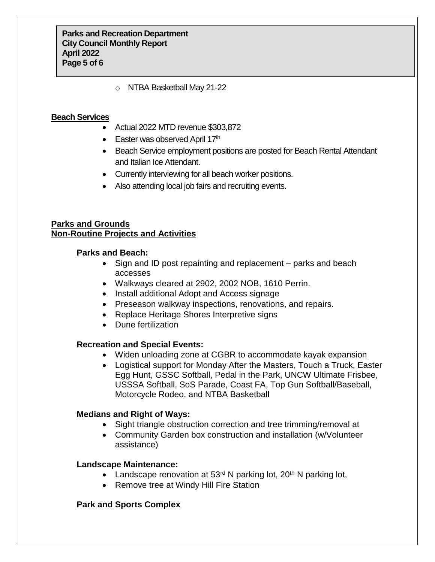o NTBA Basketball May 21-22

#### **Beach Services**

- Actual 2022 MTD revenue \$303,872
- $\bullet$  Easter was observed April 17<sup>th</sup>
- Beach Service employment positions are posted for Beach Rental Attendant and Italian Ice Attendant.
- Currently interviewing for all beach worker positions.
- Also attending local job fairs and recruiting events.

# **Parks and Grounds Non-Routine Projects and Activities**

#### **Parks and Beach:**

- Sign and ID post repainting and replacement parks and beach accesses
- Walkways cleared at 2902, 2002 NOB, 1610 Perrin.
- Install additional Adopt and Access signage
- Preseason walkway inspections, renovations, and repairs.
- Replace Heritage Shores Interpretive signs
- Dune fertilization

# **Recreation and Special Events:**

- Widen unloading zone at CGBR to accommodate kayak expansion
- Logistical support for Monday After the Masters, Touch a Truck, Easter Egg Hunt, GSSC Softball, Pedal in the Park, UNCW Ultimate Frisbee, USSSA Softball, SoS Parade, Coast FA, Top Gun Softball/Baseball, Motorcycle Rodeo, and NTBA Basketball

#### **Medians and Right of Ways:**

- Sight triangle obstruction correction and tree trimming/removal at
- Community Garden box construction and installation (w/Volunteer assistance)

#### **Landscape Maintenance:**

- Landscape renovation at  $53<sup>rd</sup>$  N parking lot,  $20<sup>th</sup>$  N parking lot,
- Remove tree at Windy Hill Fire Station

# **Park and Sports Complex**